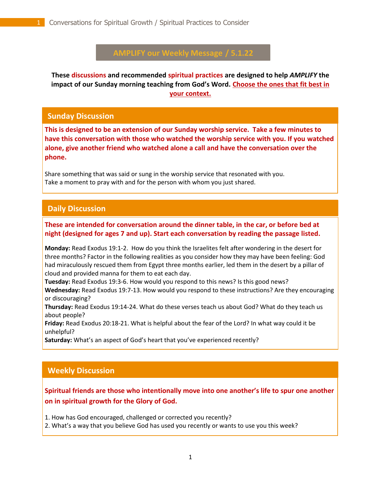# **AMPLIFY our Weekly Message / 5.1.22**

**These discussions and recommended spiritual practices are designed to help** *AMPLIFY* **the impact of our Sunday morning teaching from God's Word. Choose the ones that fit best in your context.**

#### **Sunday Discussion**

**This is designed to be an extension of our Sunday worship service. Take a few minutes to have this conversation with those who watched the worship service with you. If you watched alone, give another friend who watched alone a call and have the conversation over the phone.**

Share something that was said or sung in the worship service that resonated with you. Take a moment to pray with and for the person with whom you just shared.

## **Daily Discussion**

#### . **These are intended for conversation around the dinner table, in the car, or before bed at night (designed for ages 7 and up). Start each conversation by reading the passage listed.**

**Monday:** Read Exodus 19:1-2. How do you think the Israelites felt after wondering in the desert for three months? Factor in the following realities as you consider how they may have been feeling: God had miraculously rescued them from Egypt three months earlier, led them in the desert by a pillar of cloud and provided manna for them to eat each day.

**Tuesday:** Read Exodus 19:3-6. How would you respond to this news? Is this good news?

**Wednesday:** Read Exodus 19:7-13. How would you respond to these instructions? Are they encouraging or discouraging?

**Thursday:** Read Exodus 19:14-24. What do these verses teach us about God? What do they teach us about people?

**Friday:** Read Exodus 20:18-21. What is helpful about the fear of the Lord? In what way could it be unhelpful?

**Saturday:** What's an aspect of God's heart that you've experienced recently?

# **Weekly Discussion**

## **Spiritual friends are those who intentionally move into one another's life to spur one another on in spiritual growth for the Glory of God.**

1. How has God encouraged, challenged or corrected you recently?

2. What's a way that you believe God has used you recently or wants to use you this week?